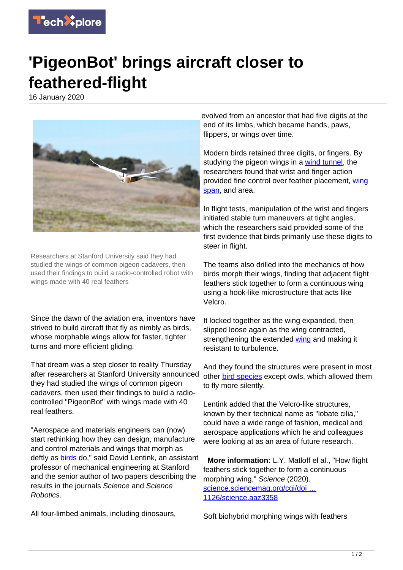

## **'PigeonBot' brings aircraft closer to feathered-flight**

16 January 2020



Researchers at Stanford University said they had studied the wings of common pigeon cadavers, then used their findings to build a radio-controlled robot with wings made with 40 real feathers

Since the dawn of the aviation era, inventors have strived to build aircraft that fly as nimbly as birds, whose morphable wings allow for faster, tighter turns and more efficient gliding.

That dream was a step closer to reality Thursday after researchers at Stanford University announced they had studied the wings of common pigeon cadavers, then used their findings to build a radiocontrolled "PigeonBot" with wings made with 40 real feathers.

"Aerospace and materials engineers can (now) start rethinking how they can design, manufacture and control materials and wings that morph as deftly as [birds](https://techxplore.com/tags/birds/) do." said David Lentink, an assistant professor of mechanical engineering at Stanford and the senior author of two papers describing the results in the journals Science and Science Robotics.

All four-limbed animals, including dinosaurs,

evolved from an ancestor that had five digits at the end of its limbs, which became hands, paws, flippers, or wings over time.

Modern birds retained three digits, or fingers. By studying the pigeon wings in a [wind tunnel,](https://techxplore.com/tags/wind+tunnel/) the researchers found that wrist and finger action provided fine control over feather placement, [wing](https://techxplore.com/tags/wing+span/) [span](https://techxplore.com/tags/wing+span/), and area.

In flight tests, manipulation of the wrist and fingers initiated stable turn maneuvers at tight angles, which the researchers said provided some of the first evidence that birds primarily use these digits to steer in flight.

The teams also drilled into the mechanics of how birds morph their wings, finding that adjacent flight feathers stick together to form a continuous wing using a hook-like microstructure that acts like Velcro.

It locked together as the wing expanded, then slipped loose again as the wing contracted, strengthening the extended [wing](https://techxplore.com/tags/wing/) and making it resistant to turbulence.

And they found the structures were present in most other **[bird species](https://techxplore.com/tags/bird+species/)** except owls, which allowed them to fly more silently.

Lentink added that the Velcro-like structures, known by their technical name as "lobate cilia," could have a wide range of fashion, medical and aerospace applications which he and colleagues were looking at as an area of future research.

 **More information:** L.Y. Matloff el al., "How flight feathers stick together to form a continuous morphing wing," Science (2020). [science.sciencemag.org/cgi/doi …](https://science.sciencemag.org/cgi/doi/10.1126/science.aaz3358) [1126/science.aaz3358](https://science.sciencemag.org/cgi/doi/10.1126/science.aaz3358)

Soft biohybrid morphing wings with feathers